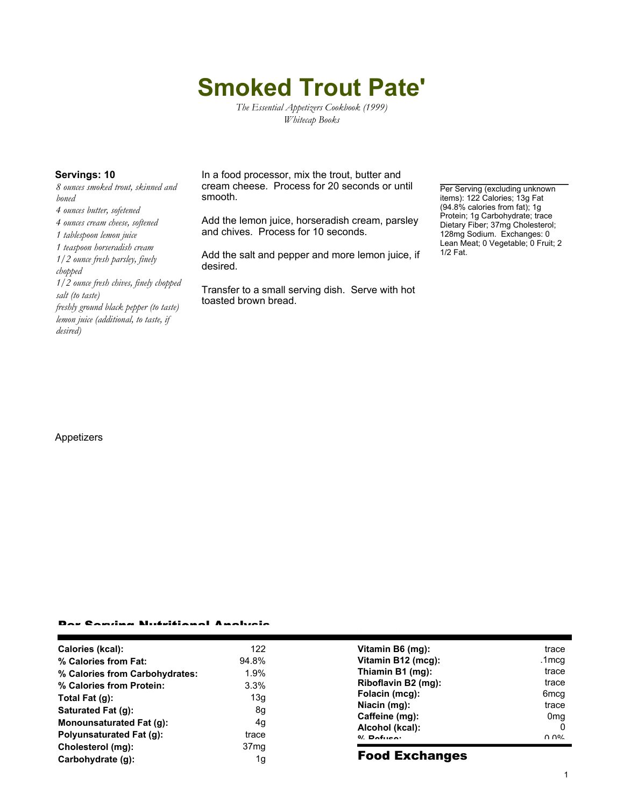# **Smoked Trout Pate'**

*The Essential Appetizers Cookbook (1999) Whitecap Books*

*8 ounces smoked trout, skinned and boned*

- *4 ounces butter, sofetened*
- *4 ounces cream cheese, softened*
- *1 tablespoon lemon juice*

*1 teaspoon horseradish cream 1/2 ounce fresh parsley, finely*

*chopped*

*1/2 ounce fresh chives, finely chopped salt (to taste)*

*freshly ground black pepper (to taste) lemon juice (additional, to taste, if desired)*

**Servings: 10** In a food processor, mix the trout, butter and cream cheese. Process for 20 seconds or until smooth.

> Add the lemon juice, horseradish cream, parsley and chives. Process for 10 seconds.

> Add the salt and pepper and more lemon juice, if desired.

Transfer to a small serving dish. Serve with hot toasted brown bread.

Per Serving (excluding unknown items): 122 Calories; 13g Fat (94.8% calories from fat); 1g Protein; 1g Carbohydrate; trace Dietary Fiber; 37mg Cholesterol; 128mg Sodium. Exchanges: 0 Lean Meat; 0 Vegetable; 0 Fruit; 2 1/2 Fat.

#### Appetizers

### Per Serving Nutritional Analysis

| Calories (kcal):                | 122              | Vitamin B6 (mg):                  | trace                                      |
|---------------------------------|------------------|-----------------------------------|--------------------------------------------|
| % Calories from Fat:            | 94.8%            | Vitamin B12 (mcg):                | .1mcg                                      |
| % Calories from Carbohydrates:  | 1.9%             | Thiamin B1 (mg):                  | trace                                      |
| % Calories from Protein:        | 3.3%             | Riboflavin B2 (mg):               | trace                                      |
| Total Fat (g):                  | 13g              | Folacin (mcg):                    | 6mcq                                       |
| Saturated Fat (g):              | 8g               | Niacin (mg):                      | trace                                      |
| Monounsaturated Fat (q):        | 4g               | Caffeine (mg):                    | 0 <sub>mq</sub>                            |
| <b>Polyunsaturated Fat (g):</b> | trace            | Alcohol (kcal):<br>$0/2$ Pofileon | 0<br>$\Omega$ $\Omega$ <sup>o</sup> $\sim$ |
| Cholesterol (mg):               | 37 <sub>mq</sub> |                                   |                                            |
| Carbohydrate (g):               | 1g               | <b>Food Exchanges</b>             |                                            |